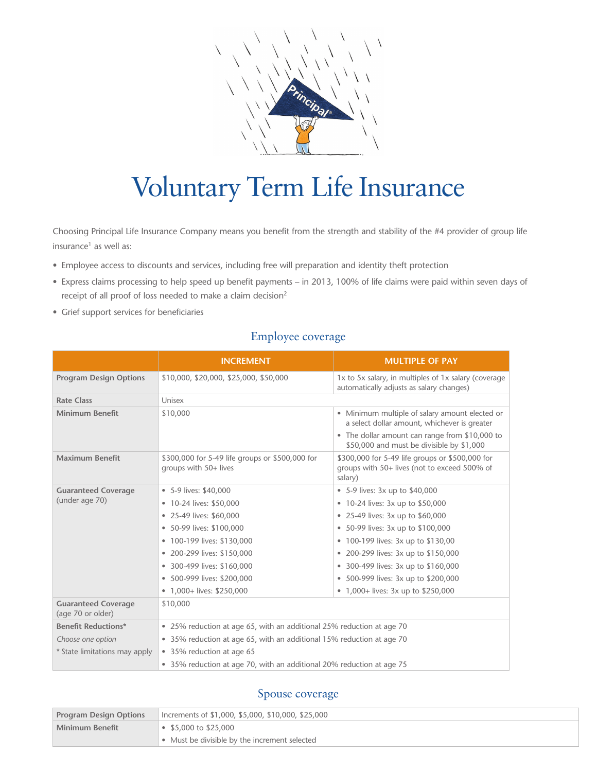

# Voluntary Term Life Insurance

Choosing Principal Life Insurance Company means you benefit from the strength and stability of the #4 provider of group life insurance<sup>1</sup> as well as:

- Employee access to discounts and services, including free will preparation and identity theft protection
- Express claims processing to help speed up benefit payments in 2013, 100% of life claims were paid within seven days of receipt of all proof of loss needed to make a claim decision<sup>2</sup>
- Grief support services for beneficiaries

## Employee coverage

|                                                 | <b>INCREMENT</b>                                                         | <b>MULTIPLE OF PAY</b>                                                                                     |  |
|-------------------------------------------------|--------------------------------------------------------------------------|------------------------------------------------------------------------------------------------------------|--|
| <b>Program Design Options</b>                   | \$10,000, \$20,000, \$25,000, \$50,000                                   | 1x to 5x salary, in multiples of 1x salary (coverage<br>automatically adjusts as salary changes)           |  |
| <b>Rate Class</b>                               | Unisex                                                                   |                                                                                                            |  |
| <b>Minimum Benefit</b>                          | \$10,000                                                                 | • Minimum multiple of salary amount elected or<br>a select dollar amount, whichever is greater             |  |
|                                                 |                                                                          | • The dollar amount can range from \$10,000 to<br>\$50,000 and must be divisible by \$1,000                |  |
| <b>Maximum Benefit</b>                          | \$300,000 for 5-49 life groups or \$500,000 for<br>groups with 50+ lives | \$300,000 for 5-49 life groups or \$500,000 for<br>groups with 50+ lives (not to exceed 500% of<br>salary) |  |
| <b>Guaranteed Coverage</b><br>(under age 70)    | • 5-9 lives: \$40,000                                                    | • 5-9 lives: 3x up to \$40,000                                                                             |  |
|                                                 | • 10-24 lives: \$50,000                                                  | • 10-24 lives: 3x up to \$50,000                                                                           |  |
|                                                 | • 25-49 lives: \$60,000                                                  | • 25-49 lives: 3x up to \$60,000                                                                           |  |
|                                                 | • 50-99 lives: \$100,000                                                 | • 50-99 lives: 3x up to \$100,000                                                                          |  |
|                                                 | • 100-199 lives: \$130,000                                               | • 100-199 lives: 3x up to \$130,00                                                                         |  |
|                                                 | • 200-299 lives: \$150,000                                               | • 200-299 lives: 3x up to \$150,000                                                                        |  |
|                                                 | • 300-499 lives: \$160,000                                               | • 300-499 lives: 3x up to \$160,000                                                                        |  |
|                                                 | • 500-999 lives: \$200,000                                               | • 500-999 lives: 3x up to \$200,000                                                                        |  |
|                                                 | • $1,000+$ lives: \$250,000                                              | • 1,000+ lives: 3x up to \$250,000                                                                         |  |
| <b>Guaranteed Coverage</b><br>(age 70 or older) | \$10,000                                                                 |                                                                                                            |  |
| <b>Benefit Reductions*</b>                      | • 25% reduction at age 65, with an additional 25% reduction at age 70    |                                                                                                            |  |
| Choose one option                               | • 35% reduction at age 65, with an additional 15% reduction at age 70    |                                                                                                            |  |
| * State limitations may apply                   | • 35% reduction at age 65                                                |                                                                                                            |  |
|                                                 | • 35% reduction at age 70, with an additional 20% reduction at age 75    |                                                                                                            |  |

## Spouse coverage

| <b>Program Design Options</b> | Increments of \$1,000, \$5,000, \$10,000, \$25,000 |  |
|-------------------------------|----------------------------------------------------|--|
| Minimum Benefit               | $\bullet$ \$5,000 to \$25,000                      |  |
|                               | Must be divisible by the increment selected        |  |